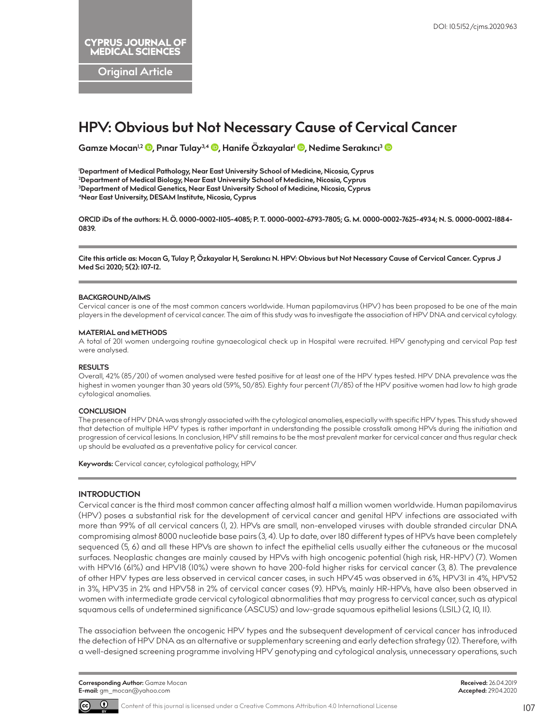**Original Article**

# **HPV: Obvious but Not Necessary Cause of Cervical Cancer**

**Gamze Mocan1,2 [,](http://orcid.org/0000-0002-7625-4934) Pınar Tulay3,4 [,](http://orcid.org/0000-0002-6793-7805) Hanife Özkayalar1 [,](http://orcid.org/0000-0002-1105-4085) Nedime Serakıncı[3](http://orcid.org/0000-0002-1884-0839)**

 **Department of Medical Pathology, Near East University School of Medicine, Nicosia, Cyprus Department of Medical Biology, Near East University School of Medicine, Nicosia, Cyprus Department of Medical Genetics, Near East University School of Medicine, Nicosia, Cyprus 4Near East University, DESAM Institute, Nicosia, Cyprus**

**ORCID iDs of the authors: H. Ö. 0000-0002-1105-4085; P. T. 0000-0002-6793-7805; G. M. 0000-0002-7625-4934; N. S. 0000-0002-1884- 0839.**

**Cite this article as: Mocan G, Tulay P, Özkayalar H, Serakıncı N. HPV: Obvious but Not Necessary Cause of Cervical Cancer. Cyprus J Med Sci 2020; 5(2): 107-12.**

## **BACKGROUND/AIMS**

Cervical cancer is one of the most common cancers worldwide. Human papilomavirus (HPV) has been proposed to be one of the main players in the development of cervical cancer. The aim of this study was to investigate the association of HPV DNA and cervical cytology.

#### **MATERIAL and METHODS**

A total of 201 women undergoing routine gynaecological check up in Hospital were recruited. HPV genotyping and cervical Pap test were analysed.

#### **RESULTS**

Overall, 42% (85/201) of women analysed were tested positive for at least one of the HPV types tested. HPV DNA prevalence was the highest in women younger than 30 years old (59%, 50/85). Eighty four percent (71/85) of the HPV positive women had low to high grade cytological anomalies.

#### **CONCLUSION**

The presence of HPV DNA was strongly associated with the cytological anomalies, especially with specific HPV types. This study showed that detection of multiple HPV types is rather important in understanding the possible crosstalk among HPVs during the initiation and progression of cervical lesions. In conclusion, HPV still remains to be the most prevalent marker for cervical cancer and thus regular check up should be evaluated as a preventative policy for cervical cancer.

**Keywords:** Cervical cancer, cytological pathology, HPV

## **INTRODUCTION**

Cervical cancer is the third most common cancer affecting almost half a million women worldwide. Human papilomavirus (HPV) poses a substantial risk for the development of cervical cancer and genital HPV infections are associated with more than 99% of all cervical cancers (1, 2). HPVs are small, non-enveloped viruses with double stranded circular DNA compromising almost 8000 nucleotide base pairs (3, 4). Up to date, over 180 different types of HPVs have been completely sequenced (5, 6) and all these HPVs are shown to infect the epithelial cells usually either the cutaneous or the mucosal surfaces. Neoplastic changes are mainly caused by HPVs with high oncogenic potential (high risk, HR-HPV) (7). Women with HPV16 (61%) and HPV18 (10%) were shown to have 200-fold higher risks for cervical cancer (3, 8). The prevalence of other HPV types are less observed in cervical cancer cases, in such HPV45 was observed in 6%, HPV31 in 4%, HPV52 in 3%, HPV35 in 2% and HPV58 in 2% of cervical cancer cases (9). HPVs, mainly HR-HPVs, have also been observed in women with intermediate grade cervical cytological abnormalities that may progress to cervical cancer, such as atypical squamous cells of undetermined significance (ASCUS) and low-grade squamous epithelial lesions (LSIL) (2, 10, 11).

The association between the oncogenic HPV types and the subsequent development of cervical cancer has introduced the detection of HPV DNA as an alternative or supplementary screening and early detection strategy (12). Therefore, with a well-designed screening programme involving HPV genotyping and cytological analysis, unnecessary operations, such

**Corresponding Author:** Gamze Mocan **E-mail:** gm\_mocan@yahoo.com



Content of this journal is licensed under a Creative Commons Attribution 4.0 International License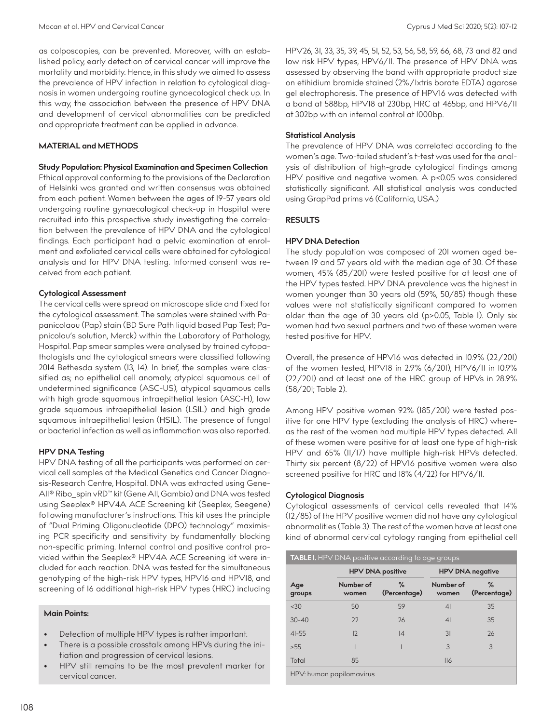as colposcopies, can be prevented. Moreover, with an established policy, early detection of cervical cancer will improve the mortality and morbidity. Hence, in this study we aimed to assess the prevalence of HPV infection in relation to cytological diagnosis in women undergoing routine gynaecological check up. In this way, the association between the presence of HPV DNA and development of cervical abnormalities can be predicted and appropriate treatment can be applied in advance.

## **MATERIAL and METHODS**

## **Study Population: Physical Examination and Specimen Collection**

Ethical approval conforming to the provisions of the Declaration of Helsinki was granted and written consensus was obtained from each patient. Women between the ages of 19-57 years old undergoing routine gynaecological check-up in Hospital were recruited into this prospective study investigating the correlation between the prevalence of HPV DNA and the cytological findings. Each participant had a pelvic examination at enrolment and exfoliated cervical cells were obtained for cytological analysis and for HPV DNA testing. Informed consent was received from each patient.

## **Cytological Assessment**

The cervical cells were spread on microscope slide and fixed for the cytological assessment. The samples were stained with Papanicolaou (Pap) stain (BD Sure Path liquid based Pap Test; Papnicolou's solution, Merck) within the Laboratory of Pathology, Hospital. Pap smear samples were analysed by trained cytopathologists and the cytological smears were classified following 2014 Bethesda system (13, 14). In brief, the samples were classified as; no epithelial cell anomaly, atypical squamous cell of undetermined significance (ASC-US), atypical squamous cells with high grade squamous intraepithelial lesion (ASC-H), low grade squamous intraepithelial lesion (LSIL) and high grade squamous intraepithelial lesion (HSIL). The presence of fungal or bacterial infection as well as inflammation was also reported.

## **HPV DNA Testing**

HPV DNA testing of all the participants was performed on cervical cell samples at the Medical Genetics and Cancer Diagnosis-Research Centre, Hospital. DNA was extracted using Gene-All® Ribo\_spin vRD™ kit (Gene All, Gambio) and DNA was tested using Seeplex® HPV4A ACE Screening kit (Seeplex, Seegene) following manufacturer's instructions. This kit uses the principle of "Dual Priming Oligonucleotide (DPO) technology" maximising PCR specificity and sensitivity by fundamentally blocking non-specific priming. Internal control and positive control provided within the Seeplex® HPV4A ACE Screening kit were included for each reaction. DNA was tested for the simultaneous genotyping of the high-risk HPV types, HPV16 and HPV18, and screening of 16 additional high-risk HPV types (HRC) including

## **Main Points:**

- Detection of multiple HPV types is rather important.
- There is a possible crosstalk among HPVs during the initiation and progression of cervical lesions.
- HPV still remains to be the most prevalent marker for cervical cancer.

HPV26, 31, 33, 35, 39, 45, 51, 52, 53, 56, 58, 59, 66, 68, 73 and 82 and low risk HPV types, HPV6/11. The presence of HPV DNA was assessed by observing the band with appropriate product size on etihidium bromide stained (2%/1xtris borate EDTA) agarose gel electrophoresis. The presence of HPV16 was detected with a band at 588bp, HPV18 at 230bp, HRC at 465bp, and HPV6/11 at 302bp with an internal control at 1000bp.

## **Statistical Analysis**

The prevalence of HPV DNA was correlated according to the women's age. Two-tailed student's t-test was used for the analysis of distribution of high-grade cytological findings among HPV positive and negative women. A p<0.05 was considered statistically significant. All statistical analysis was conducted using GrapPad prims v6 (California, USA.)

# **RESULTS**

# **HPV DNA Detection**

The study population was composed of 201 women aged between 19 and 57 years old with the median age of 30. Of these women, 45% (85/201) were tested positive for at least one of the HPV types tested. HPV DNA prevalence was the highest in women younger than 30 years old (59%, 50/85) though these values were not statistically significant compared to women older than the age of 30 years old (p>0.05, Table 1). Only six women had two sexual partners and two of these women were tested positive for HPV.

Overall, the presence of HPV16 was detected in 10.9% (22/201) of the women tested, HPV18 in 2.9% (6/201), HPV6/11 in 10.9% (22/201) and at least one of the HRC group of HPVs in 28.9% (58/201; Table 2).

Among HPV positive women 92% (185/201) were tested positive for one HPV type (excluding the analysis of HRC) whereas the rest of the women had multiple HPV types detected. All of these women were positive for at least one type of high-risk HPV and 65% (11/17) have multiple high-risk HPVs detected. Thirty six percent (8/22) of HPV16 positive women were also screened positive for HRC and 18% (4/22) for HPV6/11.

# **Cytological Diagnosis**

Cytological assessments of cervical cells revealed that 14% (12/85) of the HPV positive women did not have any cytological abnormalities (Table 3). The rest of the women have at least one kind of abnormal cervical cytology ranging from epithelial cell

| <b>TABLE I.</b> HPV DNA positive according to age groups |                         |                      |                         |                      |  |  |
|----------------------------------------------------------|-------------------------|----------------------|-------------------------|----------------------|--|--|
|                                                          | <b>HPV DNA positive</b> |                      | <b>HPV DNA negative</b> |                      |  |  |
| Age<br>groups                                            | Number of<br>women      | $\%$<br>(Percentage) | Number of<br>women      | $\%$<br>(Percentage) |  |  |
| < 30                                                     | 50                      | 59                   | 4 <sup>1</sup>          | 35                   |  |  |
| $30 - 40$                                                | 22                      | 26                   | 4 <sup>1</sup>          | 35                   |  |  |
| $4I - 55$                                                | 12                      | 4                    | 31                      | 26                   |  |  |
| >55                                                      |                         |                      | 3                       | 3                    |  |  |
| Total                                                    | 85                      |                      | II6                     |                      |  |  |
| HPV: human papilomavirus                                 |                         |                      |                         |                      |  |  |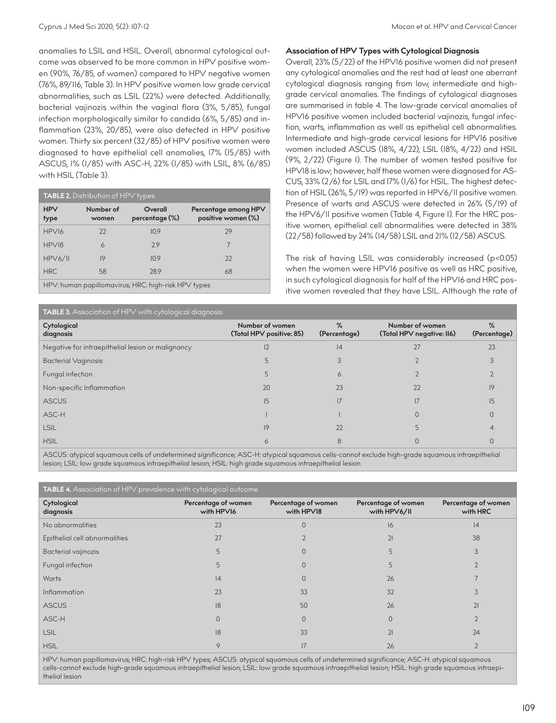anomalies to LSIL and HSIL. Overall, abnormal cytological outcome was observed to be more common in HPV positive women (90%, 76/85, of women) compared to HPV negative women (76%, 89/116, Table 3). In HPV positive women low grade cervical abnormalities, such as LSIL (22%) were detected. Additionally, bacterial vajinozis within the vaginal flora (3%, 5/85), fungal infection morphologically similar to candida (6%, 5/85) and inflammation (23%, 20/85), were also detected in HPV positive women. Thirty six percent (32/85) of HPV positive women were diagnosed to have epithelial cell anomalies, 17% (15/85) with ASCUS, 1% (1/85) with ASC-H, 22% (1/85) with LSIL, 8% (6/85) with HSIL (Table 3).

| <b>TABLE 2.</b> Distribution of HPV types           |                    |                           |                                            |  |  |
|-----------------------------------------------------|--------------------|---------------------------|--------------------------------------------|--|--|
| <b>HPV</b><br>type                                  | Number of<br>women | Overall<br>percentage (%) | Percentage among HPV<br>positive women (%) |  |  |
| HPV16                                               | 22                 | 10.9                      | 29                                         |  |  |
| HPV18                                               | 6                  | 29                        |                                            |  |  |
| HPV6/II                                             | 9                  | 10.9                      | 22                                         |  |  |
| <b>HRC</b>                                          | 58                 | 28.9                      | 68                                         |  |  |
| HPV: human papillomavirus; HRC: high-risk HPV types |                    |                           |                                            |  |  |

## **Association of HPV Types with Cytological Diagnosis**

Overall, 23% (5/22) of the HPV16 positive women did not present any cytological anomalies and the rest had at least one aberrant cytological diagnosis ranging from low, intermediate and highgrade cervical anomalies. The findings of cytological diagnoses are summarised in table 4. The low-grade cervical anomalies of HPV16 positive women included bacterial vajinozis, fungal infection, warts, inflammation as well as epithelial cell abnormalities. Intermediate and high-grade cervical lesions for HPV16 positive women included ASCUS (18%, 4/22), LSIL (18%, 4/22) and HSIL (9%, 2/22) (Figure 1). The number of women tested positive for HPV18 is low; however, half these women were diagnosed for AS-CUS, 33% (2/6) for LSIL and 17% (1/6) for HSIL. The highest detection of HSIL (26%, 5/19) was reported in HPV6/11 positive women. Presence of warts and ASCUS were detected in 26% (5/19) of the HPV6/11 positive women (Table 4, Figure 1). For the HRC positive women, epithelial cell abnormalities were detected in 38% (22/58) followed by 24% (14/58) LSIL and 21% (12/58) ASCUS.

The risk of having LSIL was considerably increased (p<0.05) when the women were HPV16 positive as well as HRC positive, in such cytological diagnosis for half of the HPV16 and HRC positive women revealed that they have LSIL. Although the rate of

| <b>TABLE 3.</b> Association of HPV with cytological diagnosis |                                             |                      |                                              |                               |  |  |
|---------------------------------------------------------------|---------------------------------------------|----------------------|----------------------------------------------|-------------------------------|--|--|
| Cytological<br>diagnosis                                      | Number of women<br>(Total HPV positive: 85) | $\%$<br>(Percentage) | Number of women<br>(Total HPV negative: II6) | $\frac{9}{6}$<br>(Percentage) |  |  |
| Negative for intraepithelial lesion or malignancy             | 12                                          | 14                   |                                              | 23                            |  |  |
| <b>Bacterial Vaginosis</b>                                    |                                             |                      |                                              |                               |  |  |
| Fungal infection                                              |                                             | 6                    |                                              |                               |  |  |
| Non-specific Inflammation                                     | 20                                          | 23                   | 22                                           | 9                             |  |  |
| <b>ASCUS</b>                                                  | 15                                          |                      |                                              | 15                            |  |  |
| ASC-H                                                         |                                             |                      |                                              |                               |  |  |
| <b>LSIL</b>                                                   | 9                                           | 22                   |                                              |                               |  |  |
| <b>HSIL</b>                                                   | Ò                                           | 8                    |                                              |                               |  |  |

ASCUS: atypical squamous cells of undetermined significance; ASC-H: atypical squamous cells-cannot exclude high-grade squamous intraepithelial lesion; LSIL: low grade squamous intraepithelial lesion; HSIL: high grade squamous intraepithelial lesion

| <b>TABLE 4.</b> Association of HPV prevalence with cytological outcome |                                   |                                   |                                     |                                 |  |  |  |
|------------------------------------------------------------------------|-----------------------------------|-----------------------------------|-------------------------------------|---------------------------------|--|--|--|
| Cytological<br>diagnosis                                               | Percentage of women<br>with HPVI6 | Percentage of women<br>with HPVI8 | Percentage of women<br>with HPV6/II | Percentage of women<br>with HRC |  |  |  |
| No abnormalities                                                       | 23                                | $\Omega$                          | 16                                  | 4                               |  |  |  |
| Epithelial cell abnormalities                                          | 27                                |                                   | 21                                  | 38                              |  |  |  |
| Bacterial vajinozis                                                    | 5                                 | $\Omega$                          |                                     | 3                               |  |  |  |
| Fungal infection                                                       | 5                                 | $\Omega$                          | ↳                                   |                                 |  |  |  |
| Warts                                                                  | 4                                 | $\Omega$                          | 26                                  |                                 |  |  |  |
| Inflammation                                                           | 23                                | 33                                | 32                                  |                                 |  |  |  |
| <b>ASCUS</b>                                                           | 8                                 | 50                                | 26                                  | 21                              |  |  |  |
| ASC-H                                                                  | $\Omega$                          | $\Omega$                          |                                     |                                 |  |  |  |
| <b>LSIL</b>                                                            | 8                                 | 33                                | 21                                  | 24                              |  |  |  |
| <b>HSIL</b>                                                            | 9                                 | 17                                | 26                                  |                                 |  |  |  |

HPV: human papillomavirus; HRC: high-risk HPV types; ASCUS: atypical squamous cells of undetermined significance; ASC-H: atypical squamous cells-cannot exclude high-grade squamous intraepithelial lesion; LSIL: low grade squamous intraepithelial lesion; HSIL: high grade squamous intraepithelial lesion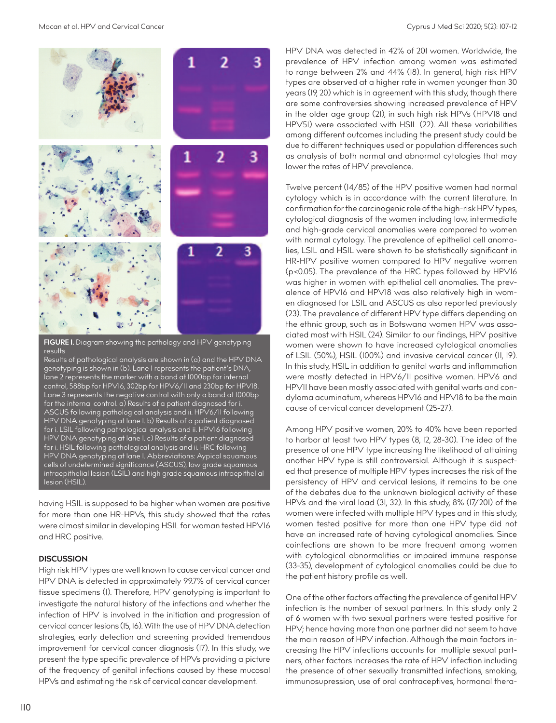

**FIGURE 1.** Diagram showing the pathology and HPV genotyping results

Results of pathological analysis are shown in (a) and the HPV DNA genotyping is shown in (b). Lane 1 represents the patient's DNA, lane 2 represents the marker with a band at 1000bp for internal control, 588bp for HPV16, 302bp for HPV6/11 and 230bp for HPV18. Lane 3 represents the negative control with only a band at 1000bp for the internal control. a) Results of a patient diagnosed for i. ASCUS following pathological analysis and ii. HPV6/11 following HPV DNA genotyping at lane 1. b) Results of a patient diagnosed for i. LSIL following pathological analysis and ii. HPV16 following HPV DNA genotyping at lane 1. c) Results of a patient diagnosed for i. HSIL following pathological analysis and ii. HRC following HPV DNA genotyping at lane 1. Abbreviations: Aypical squamous cells of undetermined significance (ASCUS), low grade squamous intraepithelial lesion (LSIL) and high grade squamous intraepithelial lesion (HSIL).

having HSIL is supposed to be higher when women are positive for more than one HR-HPVs, this study showed that the rates were almost similar in developing HSIL for woman tested HPV16 and HRC positive.

# **DISCUSSION**

High risk HPV types are well known to cause cervical cancer and HPV DNA is detected in approximately 99.7% of cervical cancer tissue specimens (1). Therefore, HPV genotyping is important to investigate the natural history of the infections and whether the infection of HPV is involved in the initiation and progression of cervical cancer lesions (15, 16). With the use of HPV DNA detection strategies, early detection and screening provided tremendous improvement for cervical cancer diagnosis (17). In this study, we present the type specific prevalence of HPVs providing a picture of the frequency of genital infections caused by these mucosal HPVs and estimating the risk of cervical cancer development.

HPV DNA was detected in 42% of 201 women. Worldwide, the prevalence of HPV infection among women was estimated to range between 2% and 44% (18). In general, high risk HPV types are observed at a higher rate in women younger than 30 years (19, 20) which is in agreement with this study, though there are some controversies showing increased prevalence of HPV in the older age group (21), in such high risk HPVs (HPV18 and HPV51) were associated with HSIL (22). All these variabilities among different outcomes including the present study could be due to different techniques used or population differences such as analysis of both normal and abnormal cytologies that may lower the rates of HPV prevalence.

Twelve percent (14/85) of the HPV positive women had normal cytology which is in accordance with the current literature. In confirmation for the carcinogenic role of the high-risk HPV types, cytological diagnosis of the women including low, intermediate and high-grade cervical anomalies were compared to women with normal cytology. The prevalence of epithelial cell anomalies, LSIL and HSIL were shown to be statistically significant in HR-HPV positive women compared to HPV negative women (p<0.05). The prevalence of the HRC types followed by HPV16 was higher in women with epithelial cell anomalies. The prevalence of HPV16 and HPV18 was also relatively high in women diagnosed for LSIL and ASCUS as also reported previously (23). The prevalence of different HPV type differs depending on the ethnic group, such as in Botswana women HPV was associated most with HSIL (24). Similar to our findings, HPV positive women were shown to have increased cytological anomalies of LSIL (50%), HSIL (100%) and invasive cervical cancer (11, 19). In this study, HSIL in addition to genital warts and inflammation were mostly detected in HPV6/11 positive women. HPV6 and HPV11 have been mostly associated with genital warts and condyloma acuminatum, whereas HPV16 and HPV18 to be the main cause of cervical cancer development (25-27).

Among HPV positive women, 20% to 40% have been reported to harbor at least two HPV types (8, 12, 28-30). The idea of the presence of one HPV type increasing the likelihood of attaining another HPV type is still controversial. Although it is suspected that presence of multiple HPV types increases the risk of the persistency of HPV and cervical lesions, it remains to be one of the debates due to the unknown biological activity of these HPVs and the viral load (31, 32). In this study, 8% (17/201) of the women were infected with multiple HPV types and in this study, women tested positive for more than one HPV type did not have an increased rate of having cytological anomalies. Since coinfections are shown to be more frequent among women with cytological abnormalities or impaired immune response (33-35), development of cytological anomalies could be due to the patient history profile as well.

One of the other factors affecting the prevalence of genital HPV infection is the number of sexual partners. In this study only 2 of 6 women with two sexual partners were tested positive for HPV; hence having more than one partner did not seem to have the main reason of HPV infection. Although the main factors increasing the HPV infections accounts for multiple sexual partners, other factors increases the rate of HPV infection including the presence of other sexually transmitted infections, smoking, immunosupression, use of oral contraceptives, hormonal thera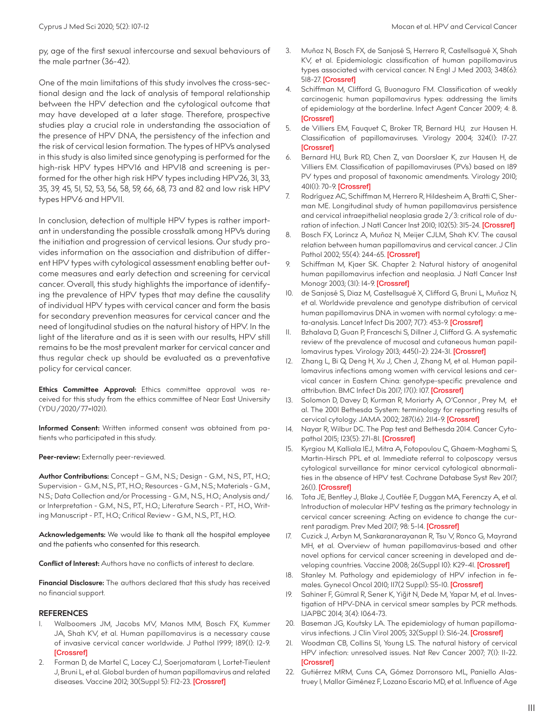py, age of the first sexual intercourse and sexual behaviours of the male partner (36-42).

One of the main limitations of this study involves the cross-sectional design and the lack of analysis of temporal relationship between the HPV detection and the cytological outcome that may have developed at a later stage. Therefore, prospective studies play a crucial role in understanding the association of the presence of HPV DNA, the persistency of the infection and the risk of cervical lesion formation. The types of HPVs analysed in this study is also limited since genotyping is performed for the high-risk HPV types HPV16 and HPV18 and screening is performed for the other high risk HPV types including HPV26, 31, 33, 35, 39, 45, 51, 52, 53, 56, 58, 59, 66, 68, 73 and 82 and low risk HPV types HPV6 and HPV11.

In conclusion, detection of multiple HPV types is rather important in understanding the possible crosstalk among HPVs during the initiation and progression of cervical lesions. Our study provides information on the association and distribution of different HPV types with cytological assessment enabling better outcome measures and early detection and screening for cervical cancer. Overall, this study highlights the importance of identifying the prevalence of HPV types that may define the causality of individual HPV types with cervical cancer and form the basis for secondary prevention measures for cervical cancer and the need of longitudinal studies on the natural history of HPV. In the light of the literature and as it is seen with our results, HPV still remains to be the most prevalent marker for cervical cancer and thus regular check up should be evaluated as a preventative policy for cervical cancer.

**Ethics Committee Approval:** Ethics committee approval was received for this study from the ethics committee of Near East University (YDU/2020/77=1021).

**Informed Consent:** Written informed consent was obtained from patients who participated in this study.

Peer-review: Externally peer-reviewed.

**Author Contributions:** Concept – G.M., N.S.; Design - G.M., N.S., P.T., H.O.; Supervision - G.M., N.S., P.T., H.O.; Resources - G.M., N.S.; Materials - G.M., N.S.; Data Collection and/or Processing - G.M., N.S., H.O.; Analysis and/ or Interpretation - G.M., N.S., P.T., H.O.; Literature Search - P.T., H.O., Writing Manuscript - P.T., H.O.; Critical Review - G.M., N.S., P.T., H.O.

**Acknowledgements:** We would like to thank all the hospital employee and the patients who consented for this research.

**Conflict of Interest:** Authors have no conflicts of interest to declare.

**Financial Disclosure:** The authors declared that this study has received no financial support.

#### **REFERENCES**

- 1. Walboomers JM, Jacobs MV, Manos MM, Bosch FX, Kummer JA, Shah KV, et al. Human papillomavirus is a necessary cause of invasive cervical cancer worldwide. J Pathol 1999; 189(1): 12-9. [[Crossref\]](https://doi.org/10.1002/(SICI)1096-9896(199909)189:1<12::AID-PATH431>3.0.CO;2-F)
- 2. Forman D, de Martel C, Lacey CJ, Soerjomataram I, Lortet-Tieulent J, Bruni L, et al. Global burden of human papillomavirus and related diseases. Vaccine 2012; 30(Suppl 5): FI2-23. [\[Crossref](https://doi.org/10.1016/j.vaccine.2012.07.055)]
- 3. Muñoz N, Bosch FX, de Sanjosé S, Herrero R, Castellsagué X, Shah KV, et al. Epidemiologic classification of human papillomavirus types associated with cervical cancer. N Engl J Med 2003; 348(6): 518-27. [\[Crossref\]](https://doi.org/10.1056/NEJMoa021641)
- 4. Schiffman M, Clifford G, Buonaguro FM. Classification of weakly carcinogenic human papillomavirus types: addressing the limits of epidemiology at the borderline. Infect Agent Cancer 2009; 4: 8. **[[Crossref\]](https://doi.org/10.1186/1750-9378-4-8)**
- 5. de Villiers EM, Fauquet C, Broker TR, Bernard HU, zur Hausen H. Classification of papillomaviruses. Virology 2004; 324(1): 17-27. **[[Crossref\]](https://doi.org/10.1016/j.virol.2004.03.033)**
- 6. Bernard HU, Burk RD, Chen Z, van Doorslaer K, zur Hausen H, de Villiers EM. Classification of papillomaviruses (PVs) based on 189 PV types and proposal of taxonomic amendments. Virology 2010; 401(1): 70-9. [\[Crossref](https://doi.org/10.1016/j.virol.2010.02.002)]
- 7. Rodríguez AC, Schiffman M, Herrero R, Hildesheim A, Bratti C, Sherman ME. Longitudinal study of human papillomavirus persistence and cervical intraepithelial neoplasia grade 2/3: critical role of du-ration of infection. J Natl Cancer Inst 2010; 102(5): 315-24. [[Crossref](https://doi.org/10.1093/jnci/djq001)]
- 8. Bosch FX, Lorincz A, Muñoz N, Meijer CJLM, Shah KV. The causal relation between human papillomavirus and cervical cancer. J Clin Pathol 2002; 55(4): 244-65. [[Crossref\]](https://doi.org/10.1136/jcp.55.4.244)
- Schiffman M, Kjaer SK. Chapter 2: Natural history of anogenital human papillomavirus infection and neoplasia. J Natl Cancer Inst Monogr 2003; (31): 14-9. [\[Crossref](https://doi.org/10.1093/oxfordjournals.jncimonographs.a003476)]
- 10. de Sanjosé S, Diaz M, Castellsagué X, Clifford G, Bruni L, Muñoz N, et al. Worldwide prevalence and genotype distribution of cervical human papillomavirus DNA in women with normal cytology: a me-ta-analysis. Lancet Infect Dis 2007; 7(7): 453-9. [[Crossref](https://doi.org/10.1016/S1473-3099(07)70158-5)]
- 11. Bzhalava D, Guan P, Franceschi S, Dillner J, Clifford G. A systematic review of the prevalence of mucosal and cutaneous human papillomavirus types. Virology 2013; 445(1-2): 224-31. [\[Crossref](https://doi.org/10.1016/j.virol.2013.07.015)]
- Zhang L, Bi Q, Deng H, Xu J, Chen J, Zhang M, et al. Human papillomavirus infections among women with cervical lesions and cervical cancer in Eastern China: genotype-specific prevalence and attribution. BMC Infect Dis 2017; 17(1): 107. [[Crossref\]](https://doi.org/10.1186/s12879-017-2223-1)
- 13. Solomon D, Davey D, Kurman R, Moriarty A, O'Connor , Prey M, et al. The 2001 Bethesda System: terminology for reporting results of cervical cytology. JAMA 2002; 287(16): 2114-9. [\[Crossref](https://doi.org/10.1001/jama.287.16.2114)]
- 14. Nayar R, Wilbur DC. The Pap test and Bethesda 2014. Cancer Cytopathol 2015; 123(5): 271-81. [[Crossref\]](https://doi.org/10.1002/cncy.21521)
- 15. Kyrgiou M, Kalliala IEJ, Mitra A, Fotopoulou C, Ghaem-Maghami S, Martin-Hirsch PPL et al. Immediate referral to colposcopy versus cytological surveillance for minor cervical cytological abnormalities in the absence of HPV test. Cochrane Database Syst Rev 2017; 26(1). [[Crossref\]](https://doi.org/10.1002/14651858.CD009836.pub2)
- 16. Tota JE, Bentley J, Blake J, Coutlée F, Duggan MA, Ferenczy A, et al. Introduction of molecular HPV testing as the primary technology in cervical cancer screening: Acting on evidence to change the cur-rent paradigm. Prev Med 2017; 98: 5-14. [\[Crossref](https://doi.org/10.1016/j.ypmed.2016.11.029)]
- 17. Cuzick J, Arbyn M, Sankaranarayanan R, Tsu V, Ronco G, Mayrand MH, et al. Overview of human papillomavirus-based and other novel options for cervical cancer screening in developed and developing countries. Vaccine 2008; 26(Suppl I0): K29-4I. *[\[Crossref\]](https://doi.org/10.1016/j.vaccine.2008.06.019)*
- 18. Stanley M. Pathology and epidemiology of HPV infection in females. Gynecol Oncol 2010; 117(2 Suppl): S5-10. [\[Crossref](https://doi.org/10.1016/j.ygyno.2010.01.024)]
- 19. Sahiner F, Gümral R, Sener K, Yiğit N, Dede M, Yapar M, et al. Investigation of HPV-DNA in cervical smear samples by PCR methods. IJAPBC 2014; 3(4): 1064-73.
- 20. Baseman JG, Koutsky LA. The epidemiology of human papilloma-virus infections. J Clin Virol 2005; 32(Suppl I): SI6-24. [\[Crossref](https://doi.org/10.1016/j.jcv.2004.12.008)]
- 21. Woodman CB, Collins SI, Young LS. The natural history of cervical HPV infection: unresolved issues. Nat Rev Cancer 2007; 7(1): 11-22. **[[Crossref\]](https://doi.org/10.1038/nrc2050)**
- 22. Gutiérrez MRM, Cuns CA, Gómez Dorronsoro ML, Paniello Alastruey I, Mallor Giménez F, Lozano Escario MD, et al. Influence of Age